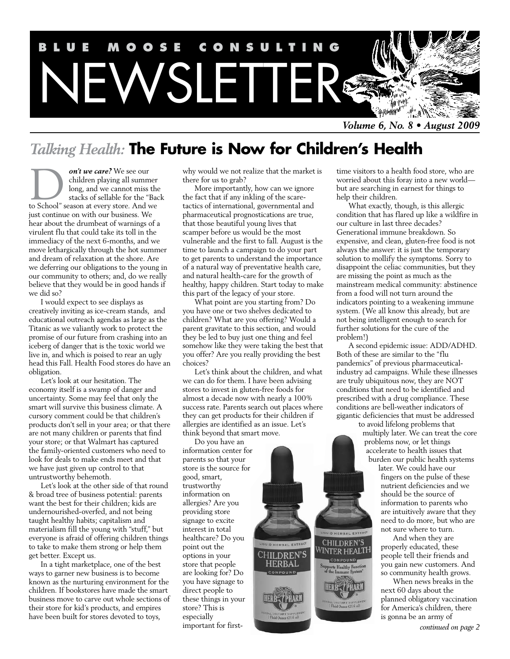

*Talking Health:* **The Future is Now for Children's Health**

*on't we care?* We see our children playing all summer long, and we cannot miss the stacks of sellable for the "Back **on't we care?** We see our children playing all summer long, and we cannot miss the stacks of sellable for the "Bacto School" season at every store. And we just continue on with our business. We hear about the drumbeat of warnings of a virulent flu that could take its toll in the immediacy of the next 6-months, and we move lethargically through the hot summer and dream of relaxation at the shore. Are we deferring our obligations to the young in our community to others; and, do we really believe that they would be in good hands if we did so?

I would expect to see displays as creatively inviting as ice-cream stands, and educational outreach agendas as large as the Titanic as we valiantly work to protect the promise of our future from crashing into an iceberg of danger that is the toxic world we live in, and which is poised to rear an ugly head this Fall. Health Food stores do have an obligation.

Let's look at our hesitation. The economy itself is a swamp of danger and uncertainty. Some may feel that only the smart will survive this business climate. A cursory comment could be that children's products don't sell in your area; or that there are not many children or parents that find your store; or that Walmart has captured the family-oriented customers who need to look for deals to make ends meet and that we have just given up control to that untrustworthy behemoth.

Let's look at the other side of that round & broad tree of business potential: parents want the best for their children; kids are undernourished-overfed, and not being taught healthy habits; capitalism and materialism fill the young with "stuff," but everyone is afraid of offering children things to take to make them strong or help them get better. Except us.

In a tight marketplace, one of the best ways to garner new business is to become known as the nurturing environment for the children. If bookstores have made the smart business move to carve out whole sections of their store for kid's products, and empires have been built for stores devoted to toys,

why would we not realize that the market is there for us to grab?

More importantly, how can we ignore the fact that if any inkling of the scaretactics of international, governmental and pharmaceutical prognostications are true, that those beautiful young lives that scamper before us would be the most vulnerable and the first to fall. August is the time to launch a campaign to do your part to get parents to understand the importance of a natural way of preventative health care, and natural health-care for the growth of healthy, happy children. Start today to make this part of the legacy of your store.

What point are you starting from? Do you have one or two shelves dedicated to children? What are you offering? Would a parent gravitate to this section, and would they be led to buy just one thing and feel somehow like they were taking the best that you offer? Are you really providing the best choices?

Let's think about the children, and what we can do for them. I have been advising stores to invest in gluten-free foods for almost a decade now with nearly a 100% success rate. Parents search out places where they can get products for their children if allergies are identified as an issue. Let's think beyond that smart move.

> CHILDREN'S **HERBAL** COMPOUND

> > **HERB<sup>&</sup>TPHARM**

Do you have an information center for parents so that your store is the source for good, smart, trustworthy information on allergies? Are you providing store signage to excite interest in total healthcare? Do you point out the options in your store that people are looking for? Do you have signage to direct people to these things in your store? This is especially important for firsttime visitors to a health food store, who are worried about this foray into a new world but are searching in earnest for things to help their children.

What exactly, though, is this allergic condition that has flared up like a wildfire in our culture in last three decades? Generational immune breakdown. So expensive, and clean, gluten-free food is not always the answer: it is just the temporary solution to mollify the symptoms. Sorry to disappoint the celiac communities, but they are missing the point as much as the mainstream medical community: abstinence from a food will not turn around the indicators pointing to a weakening immune system. (We all know this already, but are not being intelligent enough to search for further solutions for the cure of the problem!)

A second epidemic issue: ADD/ADHD. Both of these are similar to the "flu pandemics" of previous pharmaceuticalindustry ad campaigns. While these illnesses are truly ubiquitous now, they are NOT conditions that need to be identified and prescribed with a drug compliance. These conditions are bell-weather indicators of gigantic deficiencies that must be addressed

to avoid lifelong problems that multiply later. We can treat the core problems now, or let things accelerate to health issues that burden our public health systems

> later. We could have our fingers on the pulse of these nutrient deficiencies and we should be the source of information to parents who are intuitively aware that they need to do more, but who are not sure where to turn.

And when they are properly educated, these people tell their friends and you gain new customers. And so community health grows.

CHILDREN'S WINTER HEALTH

> When news breaks in the next 60 days about the planned obligatory vaccination for America's children, there is gonna be an army of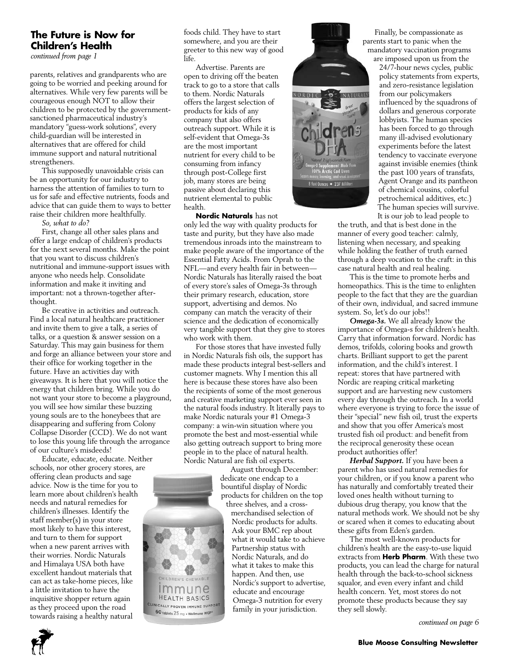# **The Future is Now for Children's Health**

*continued from page 1*

parents, relatives and grandparents who are going to be worried and peeking around for alternatives. While very few parents will be courageous enough NOT to allow their children to be protected by the governmentsanctioned pharmaceutical industry's mandatory "guess-work solutions", every child-guardian will be interested in alternatives that are offered for child immune support and natural nutritional strengtheners.

This supposedly unavoidable crisis can be an opportunity for our industry to harness the attention of families to turn to us for safe and effective nutrients, foods and advice that can guide them to ways to better raise their children more healthfully.

*So, what to do?* 

First, change all other sales plans and offer a large endcap of children's products for the next several months. Make the point that you want to discuss children's nutritional and immune-support issues with anyone who needs help. Consolidate information and make it inviting and important: not a thrown-together afterthought.

Be creative in activities and outreach. Find a local natural healthcare practitioner and invite them to give a talk, a series of talks, or a question & answer session on a Saturday. This may gain business for them and forge an alliance between your store and their office for working together in the future. Have an activities day with giveaways. It is here that you will notice the energy that children bring. While you do not want your store to become a playground, you will see how similar these buzzing young souls are to the honeybees that are disappearing and suffering from Colony Collapse Disorder (CCD). We do not want to lose this young life through the arrogance of our culture's misdeeds!

Educate, educate, educate. Neither schools, nor other grocery stores, are offering clean products and sage advice. Now is the time for you to learn more about children's health needs and natural remedies for children's illnesses. Identify the staff member(s) in your store most likely to have this interest, and turn to them for support when a new parent arrives with their worries. Nordic Naturals and Himalaya USA both have excellent handout materials that can act as take-home pieces, like a little invitation to have the inquisitive shopper return again as they proceed upon the road towards raising a healthy natural

foods child. They have to start somewhere, and you are their greeter to this new way of good life.

Advertise. Parents are open to driving off the beaten track to go to a store that calls to them. Nordic Naturals offers the largest selection of products for kids of any company that also offers outreach support. While it is self-evident that Omega-3s are the most important nutrient for every child to be consuming from infancy through post-College first job, many stores are being passive about declaring this nutrient elemental to public health.

**Nordic Naturals** has not only led the way with quality products for taste and purity, but they have also made tremendous inroads into the mainstream to make people aware of the importance of the Essential Fatty Acids. From Oprah to the NFL—and every health fair in between— Nordic Naturals has literally raised the boat of every store's sales of Omega-3s through their primary research, education, store support, advertising and demos. No company can match the veracity of their science and the dedication of economically very tangible support that they give to stores who work with them.

For those stores that have invested fully in Nordic Naturals fish oils, the support has made these products integral best-sellers and customer magnets. Why I mention this all here is because these stores have also been the recipients of some of the most generous and creative marketing support ever seen in the natural foods industry. It literally pays to make Nordic naturals your #1 Omega-3 company: a win-win situation where you promote the best and most-essential while also getting outreach support to bring more people in to the place of natural health. Nordic Natural are fish oil experts.

> August through December: dedicate one endcap to a bountiful display of Nordic products for children on the top three shelves, and a cross-

merchandised selection of Nordic products for adults. Ask your BMC rep about what it would take to achieve Partnership status with Nordic Naturals, and do what it takes to make this happen. And then, use Nordic's support to advertise, educate and encourage Omega-3 nutrition for every family in your jurisdiction.

EN'S CHEWABLE mmune **HEALTH BASICS** CLINICALLY PROVEN IMMUNE SUPPORT  $60$  tablets  $25$  mg  $\cdot$  Wellmune WGP\*



Finally, be compassionate as parents start to panic when the mandatory vaccination programs are imposed upon us from the

24/7-hour news cycles, public policy statements from experts, and zero-resistance legislation from our policymakers influenced by the squadrons of dollars and generous corporate lobbyists. The human species has been forced to go through many ill-advised evolutionary experiments before the latest tendency to vaccinate everyone against invisible enemies (think the past 100 years of transfats, Agent Orange and its pantheon of chemical cousins, colorful petrochemical additives, etc.) The human species will survive. It is our job to lead people to

the truth, and that is best done in the manner of every good teacher: calmly, listening when necessary, and speaking while holding the feather of truth earned through a deep vocation to the craft: in this case natural health and real healing.

This is the time to promote herbs and homeopathics. This is the time to enlighten people to the fact that they are the guardian of their own, individual, and sacred immune system. So, let's do our jobs!!

*Omega-3s.* We all already know the importance of Omega-s for children's health. Carry that information forward. Nordic has demos, trifolds, coloring books and growth charts. Brilliant support to get the parent information, and the child's interest. I repeat: stores that have partnered with Nordic are reaping critical marketing support and are harvesting new customers every day through the outreach. In a world where everyone is trying to force the issue of their "special" new fish oil, trust the experts and show that you offer America's most trusted fish oil product: and benefit from the reciprocal generosity these ocean product authorities offer!

*Herbal Support.* If you have been a parent who has used natural remedies for your children, or if you know a parent who has naturally and comfortably treated their loved ones health without turning to dubious drug therapy, you know that the natural methods work. We should not be shy or scared when it comes to educating about these gifts from Eden's garden.

The most well-known products for children's health are the easy-to-use liquid extracts from **Herb Pharm**. With these two products, you can lead the charge for natural health through the back-to-school sickness squalor, and even every infant and child health concern. Yet, most stores do not promote these products because they say they sell slowly.

*continued on page 6*

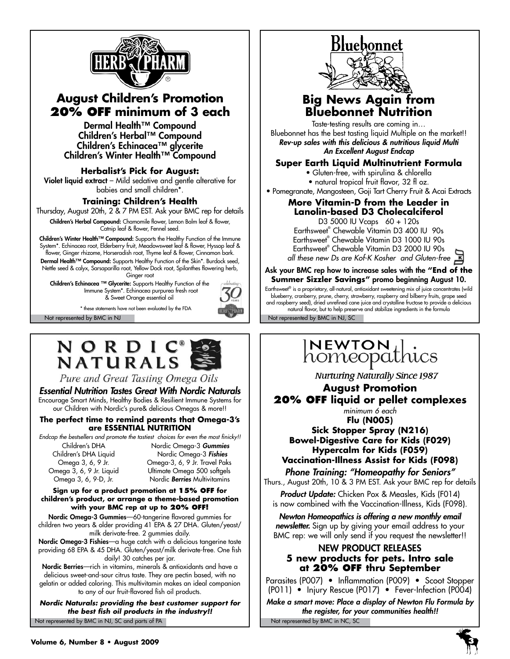

# **August Children's Promotion 20% off minimum of 3 each**

Dermal Health™ Compound Children's Herbal™ Compound Children's Echinacea™ glycerite Children's Winter Health™ Compound

**Herbalist's Pick for August:** 

Violet liquid extract – Mild sedative and gentle alterative for babies and small children\*.

## **Training: Children's Health**

Thursday, August 20th, 2 & 7 PM EST. Ask your BMC rep for details Children's Herbal Compound: Chamomile flower, Lemon Balm leaf & flower,

Catnip leaf & flower, Fennel seed.

**Children's Winter Health™ Compound:** Supports the Healthy Function of the Immune System\*. Echinacea root, Elderberry fruit, Meadowsweet leaf & flower, Hyssop leaf & flower, Ginger rhizome, Horseradish root, Thyme leaf & flower, Cinnamon bark. Dermal Health™ Compound: Supports Healthy Function of the Skin\*. Burdock seed, Nettle seed & calyx, Sarsaparilla root, Yellow Dock root, Spilanthes flowering herb, Ginger root

Children's Echinacea ™ Glycerite: Supports Healthy Function of the Immune System\*. Echinacea purpurea fresh root & Sweet Orange essential oil

\* these statements have not been evaluated by the FDA

# **NORDIC®**<br>NATURALS

Pure and Great Tasting Omega Oils

# *Essential Nutrition Tastes Great With Nordic Naturals*

Encourage Smart Minds, Healthy Bodies & Resilient Immune Systems for our Children with Nordic's pure& delicious Omegas & more!!

#### **The perfect time to remind parents that Omega-3's are essential nutrition**

*Endcap the bestsellers and promote the tastiest choices for even the most finicky!!*

Children's DHA Nordic Omega-3 *Gummies* Children's DHA Liquid Nordic Omega-3 *Fishies* Omega 3, 6, 9 Jr. Omega-3, 6, 9 Jr. Travel Paks Omega 3, 6, 9 Jr. Liquid Ultimate Omega 500 softgels Omega 3, 6, 9-D, Jr. Nordic *Berries* Multivitamins

#### **Sign up for a product promotion at 15% off for children's product, or arrange a theme-based promotion with your BMC rep at up to 20% off!**

Nordic Omega-3 Gummies—60-tangerine flavored gummies for children two years & older providing 41 EPA & 27 DHA. Gluten/yeast/ milk derivate-free. 2 gummies daily.

Nordic Omega-3 Fishies—a huge catch with a delicious tangerine taste providing 68 EPA & 45 DHA. Gluten/yeast/milk derivate-free. One fish daily! 30 catches per jar.

Nordic Berries—rich in vitamins, minerals & antioxidants and have a delicious sweet-and-sour citrus taste. They are pectin based, with no gelatin or added coloring. This multivitamin makes an ideal companion to any of our fruit-flavored fish oil products.

Not represented by BMC in NJ, SC and parts of PA Not represented by BMC in NC, SC *Nordic Naturals: providing the best customer support for the best fish oil products in the industry!!*





# **Big News Again from Bluebonnet Nutrition**

Taste-testing results are coming in… Bluebonnet has the best tasting liquid Multiple on the market!! *Rev-up sales with this delicious & nutritious liquid Multi An Excellent August Endcap*

#### **Super Earth Liquid Multinutrient Formula**

• Gluten-free, with spirulina & chlorella

• natural tropical fruit flavor, 32 fl oz.

• Pomegranate, Mangosteen, Goji Tart Cherry Fruit & Acai Extracts

# **More Vitamin-D from the Leader in Lanolin-based D3 Cholecalciferol**

D3 5000 IU Vcaps 60 + 120s Earthsweet® Chewable Vitamin D3 400 IU 90s Earthsweet® Chewable Vitamin D3 1000 IU 90s Earthsweet® Chewable Vitamin D3 2000 IU 90s *all these new Ds are Kof-K Kosher and Gluten-free*

#### Ask your BMC rep how to increase sales with the **"End of the Summer Sizzler Savings"** promo beginning August 10.

Not represented by BMC in NJ Not represented by BMC in NJ, SC Earthsweet® is a proprietary, all-natural, antioxidant sweetening mix of juice concentrates (wild blueberry, cranberry, prune, cherry, strawberry, raspberry and bilberry fruits, grape seed and raspberry seed), dried unrefined cane juice and crystalline fructose to provide a delicious natural flavor, but to help preserve and stabilize ingredients in the formula

# INEWTON , homeopathics

**Nurturing Naturally Since 1987** 

**August Promotion 20% off liquid or pellet complexes**

*minimum 6 each*

**Flu (N005) Sick Stopper Spray (N216) Bowel-Digestive Care for Kids (F029) Hypercalm for Kids (F059) Vaccination-Illness Assist for Kids (F098)** *Phone Training: "Homeopathy for Seniors"*

Thurs., August 20th, 10 & 3 PM EST. Ask your BMC rep for details

*Product Update:* Chicken Pox & Measles, Kids (F014) is now combined with the Vaccination-Illness, Kids (F098).

*Newton Homeopathics is offering a new monthly email newsletter.* Sign up by giving your email address to your BMC rep: we will only send if you request the newsletter!!

## NEW PRODUCT RELEASES **5 new products for pets. Intro sale at 20% off thru September**

Parasites (P007) • Inflammation (P009) • Scoot Stopper (P011) • Injury Rescue (P017) • Fever-Infection (P004)

*Make a smart move: Place a display of Newton Flu Formula by the register, for your communities health!!*

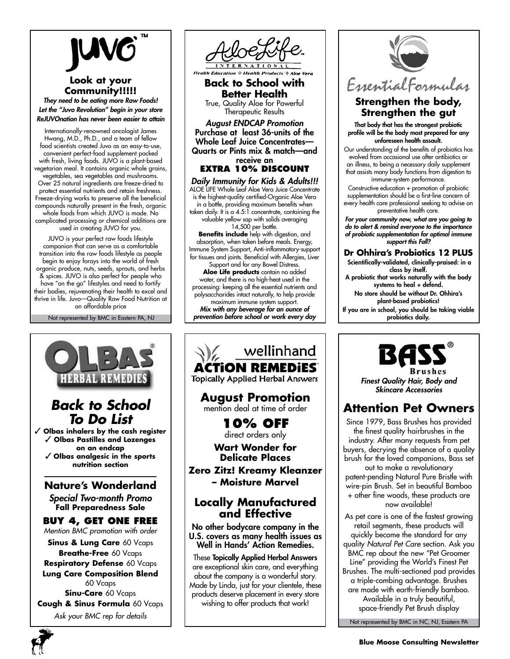

# **Look at your Community!!!!!**

*They need to be eating more Raw Foods! Let the "Juvo Revolution" begin in your store ReJUVOnation has never been easier to attain*

Internationally-renowned oncologist James Hwang, M.D., Ph.D., and a team of fellow food scientists created Juvo as an easy-to-use, convenient perfect-food supplement packed with fresh, living foods. JUVO is a plant-based vegetarian meal. It contains organic whole grains, vegetables, sea vegetables and mushrooms. Over 25 natural ingredients are freeze-dried to protect essential nutrients and retain freshness. Freeze-drying works to preserve all the beneficial compounds naturally present in the fresh, organic whole foods from which JUVO is made. No complicated processing or chemical additions are used in creating JUVO for you.

JUVO is your perfect raw foods lifestyle companion that can serve as a comfortable transition into the raw foods lifestyle as people begin to enjoy forays into the world of fresh organic produce, nuts, seeds, sprouts, and herbs & spices. JUVO is also perfect for people who have "on the go" lifestyles and need to fortify their bodies, rejuvenating their health to excel and thrive in life. Juvo—Quality Raw Food Nutrition at an affordable price

Not represented by BMC in Eastern PA, NJ





☆ Health Product

**Back to School with Better Health** True, Quality Aloe for Powerful Therapeutic Results

*August ENDCAP Promotion* Purchase at least 36-units of the Whole Leaf Juice Concentrates— Quarts or Pints mix & match—and receive an

**extra 10% discount**

*Daily Immunity for Kids & Adults!!!* ALOE LIFE Whole Leaf Aloe Vera Juice Concentrate is the highest-quality certified-Organic Aloe Vera in a bottle, providing maximum benefits when taken daily. It is a 4.5:1 concentrate, containing the valuable yellow sap with solids averaging 14,500 per bottle. **Benefits include** help with digestion, and absorption, when taken before meals. Energy, Immune System Support, Anti-inflammatory-support for tissues and joints. Beneficial with Allergies, Liver Support and for any Bowel Distress. **Aloe Life products** contain no added water, and there is no high-heat used in the

processing: keeping all the essential nutrients and polysaccharides intact naturally, to help provide maximum immune system support.

*Mix with any beverage for an ounce of prevention before school or work every day*

wellinhand ACTION REMEDIES **Topically Applied Herbal Answers August Promotion** mention deal at time of order **10% off** direct orders only **Wart Wonder for Delicate Places Zero Zitz! Kreamy Kleanzer – Moisture Marvel Locally Manufactured and Effective** No other bodycare company in the U.S. covers as many health issues as Well in Hands' Action Remedies. These Topically Applied Herbal Answers are exceptional skin care, and everything about the company is a wonderful story. Made by Linda, just for your clientele, these products deserve placement in every store

wishing to offer products that work!



# **Strengthen the body, Strengthen the gut**

That body that has the strongest probiotic profile will be the body most prepared for any unforeseen health assault.

Our understanding of the benefits of probiotics has evolved from occasional use after antibiotics or an illness, to being a necessary daily supplement that assists many body functions from digestion to immune-system performance.

Constructive education + promotion of probiotic supplementation should be a first-line concern of every health care professional seeking to advise on preventative health care.

*For your community now, what are you going to do to alert & remind everyone to the importance of probiotic supplementation for optimal immune support this Fall?*

## **Dr Ohhira's Probiotics 12 PLUS**

 Scientifically-validated, clinically-praised: in a class by itself.

A probiotic that works naturally with the body systems to heal + defend.

No store should be without Dr. Ohhira's plant-based probiotics!

If you are in school, you should be taking viable probiotics daily.



*Finest Quality Hair, Body and Skincare Accessories*

# **Attention Pet Owners**

Since 1979, Bass Brushes has provided the finest quality hairbrushes in the industry. After many requests from pet buyers, decrying the absence of a quality brush for the loved companions, Bass set

out to make a revolutionary patent-pending Natural Pure Bristle with wire-pin Brush. Set in beautiful Bamboo + other fine woods, these products are now available!

As pet care is one of the fastest growing retail segments, these products will quickly become the standard for any quality *Natural Pet Care* section. Ask you BMC rep about the new "Pet Groomer Line" providing the World's Finest Pet Brushes. The multi-sectioned pad provides a triple-combing advantage. Brushes are made with earth-friendly bamboo. Available in a truly beautiful, space-friendly Pet Brush display

Not represented by BMC in NC, NJ, Eastern PA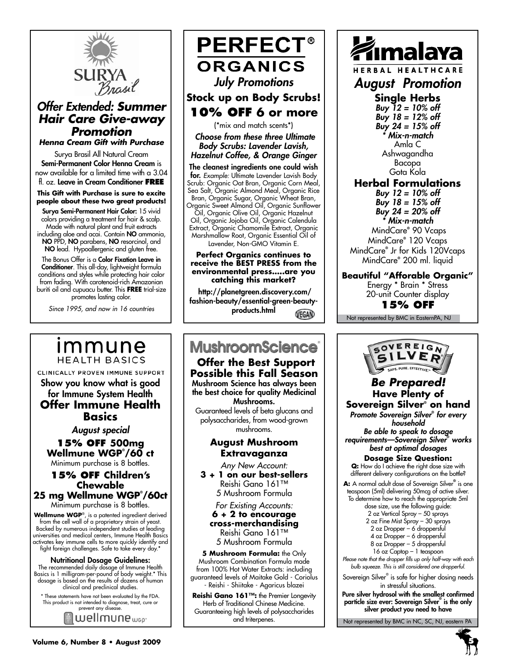

# *Offer Extended: Summer Hair Care Give-away Promotion Henna Cream Gift with Purchase*

Surya Brasil All Natural Cream Semi-Permanent Color Henna Cream is now available for a limited time with a 3.04 fl. oz. Leave in Cream Conditioner **FREE**

**This Gift with Purchase is sure to excite people about these two great products!**

Surya Semi-Permanent Hair Color: 15 vivid colors providing a treatment for hair & scalp. Made with natural plant and fruit extracts including aloe and acai. Contain NO ammonia, NO PPD, NO parabens, NO resorcinol, and NO lead. Hypoallergenic and gluten free.

The Bonus Offer is a **Color Fixation Leave in** Conditioner. This all-day, lightweight formula conditions and styles while protecting hair color from fading. With carotenoid-rich Amazonian buriti oil and cupuacu butter. This **free** trial-size promotes lasting color.

*Since 1995, and now in 16 countries*

# **PERFECT® ORGANICS** *July Promotions* **Stock up on Body Scrubs! 10% off 6 or more**

(\*mix and match scents\*)

 *Choose from these three Ultimate Body Scrubs: Lavender Lavish, Hazelnut Coffee, & Orange Ginger*

The cleanest ingredients one could wish for. *Example:* Ultimate Lavender Lavish Body Scrub: Organic Oat Bran, Organic Corn Meal, Sea Salt, Organic Almond Meal, Organic Rice Bran, Organic Sugar, Organic Wheat Bran, Organic Sweet Almond Oil, Organic Sunflower

Oil, Organic Olive Oil, Organic Hazelnut Oil, Organic Jojoba Oil, Organic Calendula Extract, Organic Chamomile Extract, Organic Marshmallow Root, Organic Essential Oil of Lavender, Non-GMO Vitamin E.

#### **Perfect Organics continues to receive the BEST PRESS from the environmental press…..are you catching this market?**

 http://planetgreen.discovery.com/ fashion-beauty/essential-green-beautyproducts.htmlVEGAN

# **MushroomScience**®

 **Offer the Best Support Possible this Fall Season** Mushroom Science has always been the best choice for quality Medicinal Mushrooms.

Guaranteed levels of beta glucans and polysaccharides, from wood-grown mushrooms.

## **August Mushroom Extravaganza**

*Any New Account:*

**3 + 1 on our best-sellers** Reishi Gano 161™ 5 Mushroom Formula

*For Existing Accounts:*  **6 + 2 to encourage cross-merchandising** Reishi Gano 161™ 5 Mushroom Formula

**5 Mushroom Formula:** the Only Mushroom Combination Formula made from 100% Hot Water Extracts: including guaranteed levels of Maitake Gold - Coriolus - Reishi - Shiitake - Agaricus blazei

**Reishi Gano 161™:** the Premier Longevity Herb of Traditional Chinese Medicine. Guaranteeing high levels of polysaccharides and triterpenes.



HERBAL HEALTHCARE

*August Promotion*

# **Single Herbs**

*Buy 12 = 10% off Buy 18 = 12% off Buy 24 = 15% off \* Mix-n-match* Amla C Ashwagandha Bacopa Gota Kola

**Herbal Formulations** *Buy 12 = 10% off*

*Buy 18 = 15% off Buy 24 = 20% off*

*\* Mix-n-match*

 MindCare**®** 90 Vcaps MindCare**®** 120 Vcaps MindCare**®** Jr for Kids 120Vcaps MindCare**®** 200 ml. liquid

**Beautiful "Afforable Organic"**

Energy \* Brain \* Stress 20-unit Counter display **15% off**

Not represented by BMC in EasternPA, NJ



*August special* **15% off 500mg Wellmune WGP® /60 ct**

Show you know what is good for Immune System Health **Offer Immune Health Basics**

CLINICALLY PROVEN IMMUNE SUPPORT

immune

**HEALTH BASICS** 

Minimum purchase is 8 bottles.

## **15% off Children's Chewable 25 mg Wellmune WGP® /60ct**

Minimum purchase is 8 bottles.

**Wellmune WGP**®, is a patented ingredient derived from the cell wall of a proprietary strain of yeast. Backed by numerous independent studies at leading universities and medical centers, Immune Health Basics activates key immune cells to more quickly identify and fight foreign challenges. Safe to take every day.

#### Nutritional Dosage Guidelines:

The recommended daily dosage of Immune Health Basics is 1 milligram-per-pound of body weight.\* This dosage is based on the results of dozens of human clinical and preclinical studies.

\* These statements have not been evaluated by the FDA. This product is not intended to diagnose, treat, cure or prevent any disease.

wellmune<sub>wep</sub>.

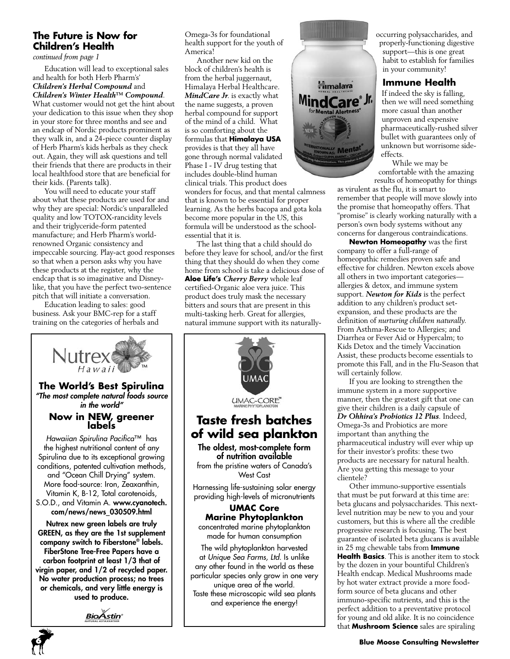# **The Future is Now for Children's Health**

*continued from page 1*

Education will lead to exceptional sales and health for both Herb Pharm's' *Children's Herbal Compound* and *Children's Winter Health™ Compound*.

What customer would not get the hint about your dedication to this issue when they shop in your store for three months and see and an endcap of Nordic products prominent as they walk in, and a 24-piece counter display of Herb Pharm's kids herbals as they check out. Again, they will ask questions and tell their friends that there are products in their local healthfood store that are beneficial for their kids. (Parents talk).

You will need to educate your staff about what these products are used for and why they are special: Nordic's unparalleled quality and low TOTOX-rancidity levels and their triglyceride-form patented manufacture; and Herb Pharm's worldrenowned Organic consistency and impeccable sourcing. Play-act good responses so that when a person asks why you have these products at the register, why the endcap that is so imaginative and Disneylike, that you have the perfect two-sentence pitch that will initiate a conversation.

Education leading to sales: good business. Ask your BMC-rep for a staff training on the categories of herbals and



Omega-3s for foundational health support for the youth of America!

Another new kid on the block of children's health is from the herbal juggernaut, Himalaya Herbal Healthcare. *MindCare Jr*. is exactly what the name suggests, a proven herbal compound for support of the mind of a child. What is so comforting about the formulas that **Himalaya USA** provides is that they all have gone through normal validated Phase I - IV drug testing that includes double-blind human clinical trials. This product does

wonders for focus, and that mental calmness that is known to be essential for proper learning. As the herbs bacopa and gota kola become more popular in the US, this formula will be understood as the schoolessential that it is.

The last thing that a child should do before they leave for school, and/or the first thing that they should do when they come home from school is take a delicious dose of **Aloe Life's** *Cherry Berry* whole leaf certified-Organic aloe vera juice. This product does truly mask the necessary bitters and sours that are present in this multi-tasking herb. Great for allergies, natural immune support with its naturally-





occurring polysaccharides, and properly-functioning digestive support—this is one great habit to establish for families in your community!

## **Immune Health**

If indeed the sky is falling, then we will need something more casual than another unproven and expensive pharmaceutically-rushed silver bullet with guarantees only of unknown but worrisome sideeffects.

While we may be comfortable with the amazing results of homeopathy for things

as virulent as the flu, it is smart to remember that people will move slowly into the promise that homeopathy offers. That "promise" is clearly working naturally with a person's own body systems without any concerns for dangerous contraindications.

**Newton Homeopathy** was the first company to offer a full-range of homeopathic remedies proven safe and effective for children. Newton excels above all others in two important categories allergies & detox, and immune system support. *Newton for Kids* is the perfect addition to any children's product setexpansion, and these products are the definition of *nurturing children naturally*. From Asthma-Rescue to Allergies; and Diarrhea or Fever Aid or Hypercalm; to Kids Detox and the timely Vaccination Assist, these products become essentials to promote this Fall, and in the Flu-Season that will certainly follow.

If you are looking to strengthen the immune system in a more supportive manner, then the greatest gift that one can give their children is a daily capsule of *Dr Ohhira's Probiotics 12 Plus*. Indeed, Omega-3s and Probiotics are more important than anything the pharmaceutical industry will ever whip up for their investor's profits: these two products are necessary for natural health. Are you getting this message to your clientele?

Other immuno-supportive essentials that must be put forward at this time are: beta glucans and polysaccharides. This nextlevel nutrition may be new to you and your customers, but this is where all the credible progressive research is focusing. The best guarantee of isolated beta glucans is available in 25 mg chewable tabs from **Immune Health Basics**. This is another item to stock by the dozen in your bountiful Children's Health endcap. Medical Mushrooms made by hot water extract provide a more foodform source of beta glucans and other immuno-specific nutrients, and this is the perfect addition to a preventative protocol for young and old alike. It is no coincidence that **Mushroom Science** sales are spiraling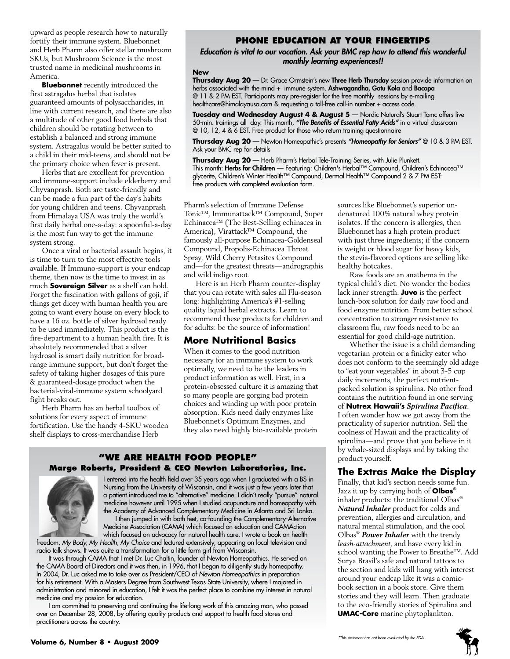upward as people research how to naturally fortify their immune system. Bluebonnet and Herb Pharm also offer stellar mushroom SKUs, but Mushroom Science is the most trusted name in medicinal mushrooms in America.

**Bluebonnet** recently introduced the first astragalus herbal that isolates guaranteed amounts of polysaccharides, in line with current research, and there are also a multitude of other good food herbals that children should be rotating between to establish a balanced and strong immune system. Astragalus would be better suited to a child in their mid-teens, and should not be the primary choice when fever is present.

Herbs that are excellent for prevention and immune-support include elderberry and Chyvanprash. Both are taste-friendly and can be made a fun part of the day's habits for young children and teens. Chyvanprash from Himalaya USA was truly the world's first daily herbal one-a-day: a spoonful-a-day is the most fun way to get the immune system strong.

Once a viral or bacterial assault begins, it is time to turn to the most effective tools available. If Immuno-support is your endcap theme, then now is the time to invest in as much **Sovereign Silver** as a shelf can hold. Forget the fascination with gallons of goji, if things get dicey with human health you are going to want every house on every block to have a 16 oz. bottle of silver hydrosol ready to be used immediately. This product is the fire-department to a human health fire. It is absolutely recommended that a silver hydrosol is smart daily nutrition for broadrange immune support, but don't forget the safety of taking higher dosages of this pure & guaranteed-dosage product when the bacterial-viral-immune system schoolyard fight breaks out.

Herb Pharm has an herbal toolbox of solutions for every aspect of immune fortification. Use the handy 4-SKU wooden shelf displays to cross-merchandise Herb

### **phone education at your fingertips**

*Education is vital to our vocation. Ask your BMC rep how to attend this wonderful monthly learning experiences!!*

#### **New**

**Thursday Aug 20** — Dr. Grace Ormstein's new Three Herb Thursday session provide information on herbs associated with the mind + immune system. Ashwagandha, Gotu Kola and Bacopa @ 11 & 2 PM EST. Participants may pre-register for the free monthly sessions by e-mailing healthcare@himalayausa.com & requesting a toll-free call-in number + access code.

**Tuesday and Wednesday August 4 & August 5** — Nordic Natural's Stuart Tomc offers live 50-min. trainings all day. This month, *"The Benefits of Essential Fatty Acids"* in a virtual classroom @ 10, 12, 4 & 6 EST. Free product for those who return training questionnaire

**Thursday Aug 20** — Newton Homeopathic's presents *"Homeopathy for Seniors"* @ 10 & 3 PM EST. Ask your BMC rep for details

**Thursday Aug 20** — Herb Pharm's Herbal Tele-Training Series, with Julie Plunkett. This month: Herbs for Children — Featuring: Children's Herbal™ Compound, Children's Echinacea™ glycerite, Children's Winter Health™ Compound, Dermal Health™ Compound 2 & 7 PM EST: free products with completed evaluation form.

Pharm's selection of Immune Defense Tonic™, Immunattack™ Compound, Super Echinacea™ (The Best-Selling echinacea in America), Virattack™ Compound, the famously all-purpose Echinacea-Goldenseal Compound, Propolis-Echinacea Throat Spray, Wild Cherry Petasites Compound and—for the greatest threats—andrographis and wild indigo root.

Here is an Herb Pharm counter-display that you can rotate with sales all Flu-season long: highlighting America's #1-selling quality liquid herbal extracts. Learn to recommend these products for children and for adults: be the source of information!

#### **More Nutritional Basics**

When it comes to the good nutrition necessary for an immune system to work optimally, we need to be the leaders in product information as well. First, in a protein-obsessed culture it is amazing that so many people are gorging bad protein choices and winding up with poor protein absorption. Kids need daily enzymes like Bluebonnet's Optimum Enzymes, and they also need highly bio-available protein

#### **"We Are health food people" Marge Roberts, President & CEO Newton Laboratories, Inc.**



I entered into the health field over 35 years ago when I graduated with a BS in Nursing from the University of Wisconsin, and it was just a few years later that a patient introduced me to "alternative" medicine. I didn't really "pursue" natural medicine however until 1995 when I studied acupuncture and homeopathy with the Academy of Advanced Complementary Medicine in Atlanta and Sri Lanka.

I then jumped in with both feet, co-founding the Complementary-Alternative Medicine Association (CAMA) which focused on education and CAMAction which focused on advocacy for natural health care. I wrote a book on health

freedom, *My Body, My Health, My Choice* and lectured extensively, appearing on local television and radio talk shows. It was quite a transformation for a little farm girl from Wisconsin.

It was through CAMA that I met Dr. Luc Chaltin, founder of Newton Homeopathics. He served on the CAMA Board of Directors and it was then, in 1996, that I began to diligently study homeopathy. In 2004, Dr. Luc asked me to take over as President/CEO of *Newton Homeopathics* in preparation for his retirement. With a Masters Degree from Southwest Texas State University, where I majored in administration and minored in education, I felt it was the perfect place to combine my interest in natural medicine and my passion for education.

I am committed to preserving and continuing the life-long work of this amazing man, who passed over on December 28, 2008, by offering quality products and support to health food stores and practitioners across the country.

sources like Bluebonnet's superior undenatured 100% natural whey protein isolates. If the concern is allergies, then Bluebonnet has a high protein product with just three ingredients; if the concern is weight or blood sugar for heavy kids, the stevia-flavored options are selling like healthy hotcakes.

Raw foods are an anathema in the typical child's diet. No wonder the bodies lack inner strength. **Juvo** is the perfect lunch-box solution for daily raw food and food enzyme nutrition. From better school concentration to stronger resistance to classroom flu, raw foods need to be an essential for good child-age nutrition.

Whether the issue is a child demanding vegetarian protein or a finicky eater who does not conform to the seemingly old adage to "eat your vegetables" in about 3-5 cup daily increments, the perfect nutrientpacked solution is spirulina. No other food contains the nutrition found in one serving of **Nutrex Hawaii's** *Spirulina Pacifica*. I often wonder how we got away from the practicality of superior nutrition. Sell the coolness of Hawaii and the practicality of spirulina—and prove that you believe in it by whale-sized displays and by taking the product yourself.

# **The Extras Make the Display**

Finally, that kid's section needs some fun. Jazz it up by carrying both of **Olbas**® inhaler products: the traditional Olbas® *Natural Inhaler* product for colds and prevention, allergies and circulation, and natural mental stimulation, and the cool Olbas® *Power Inhaler* with the trendy *leash-attachment*, and have every kid in school wanting the Power to Breathe™. Add Surya Brasil's safe and natural tattoos to the section and kids will hang with interest around your endcap like it was a comicbook section in a book store. Give them stories and they will learn. Then graduate to the eco-friendly stories of Spirulina and **UMAC-Core** marine phytoplankton.